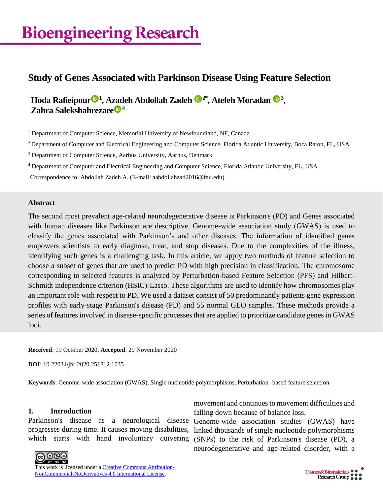# **Bioengineering Research**

## **Study of Genes Associated with Parkinson Disease Using Feature Selection**

**Hoda Rafieipour <sup>1</sup> , Azadeh Abdollah Zadeh 2\* , Atefeh Moradan <sup>3</sup> , Zahra Salekshahrezaee <sup>4</sup>**

<sup>1</sup> Department of Computer Science, Memorial University of Newfoundland, NF, Canada

<sup>2</sup> Department of Computer and Electrical Engineering and Computer Science, Florida Atlantic University, Boca Raton, FL, USA

<sup>3</sup> Department of Computer Science, Aarhus University, Aarhus, Denmark

<sup>4</sup> Department of Computer and Electrical Engineering and Computer Science, Florida Atlantic University, FL, USA

Correspondence to: Abdollah Zadeh A. (E-mail: aabdollahzad2016@fau.edu)

#### **Abstract**

The second most prevalent age-related neurodegenerative disease is Parkinson's (PD) and Genes associated with human diseases like Parkinson are descriptive. Genome-wide association study (GWAS) is used to classify the genes associated with Parkinson's and other diseases. The information of identified genes empowers scientists to early diagnose, treat, and stop diseases. Due to the complexities of the illness, identifying such genes is a challenging task. In this article, we apply two methods of feature selection to choose a subset of genes that are used to predict PD with high precision in classification. The chromosome corresponding to selected features is analyzed by Perturbation-based Feature Selection (PFS) and Hilbert-Schmidt independence criterion (HSIC)-Lasso. These algorithms are used to identify how chromosomes play an important role with respect to PD. We used a dataset consist of 50 predominantly patients gene expression profiles with early-stage Parkinson's disease (PD) and 55 normal GEO samples. These methods provide a series of features involved in disease-specific processes that are applied to prioritize candidate genes in GWAS loci.

**Received**: 19 October 2020, **Accepted**: 29 November 2020

**DOI**: 10.22034/jbr.2020.251812.1035

**Keywords**: Genome-wide association (GWAS), Single nucleotide polymorphisms, Perturbation- based feature selection

#### **1. Introduction**

Parkinson's disease as a neurological disease progresses during time. It causes moving disabilities,

movement and continues to movement difficulties and falling down because of balance loss.

which starts with hand involuntary quivering (SNPs) to the risk of Parkinson's disease (PD), a Genome-wide association studies (GWAS) have linked thousands of single nucleotide polymorphisms neurodegenerative and age-related disorder, with a



This work is licensed under a [Creative Commons Attribution-](http://creativecommons.org/licenses/by-nc-nd/4.0/)[NonCommercial-NoDerivatives 4.0 International License.](http://creativecommons.org/licenses/by-nc-nd/4.0/)

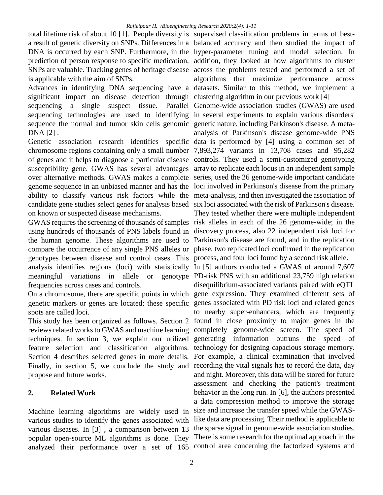total lifetime risk of about 10 [1]. People diversity is supervised classification problems in terms of bestis applicable with the aim of SNPs.

Advances in identifying DNA sequencing have a datasets. Similar to this method, we implement a significant impact on disease detection through clustering algorithm in our previous work [4] sequencing a single suspect tissue. Parallel Genome-wide association studies (GWAS) are used sequencing technologies are used to identifying in several experiments to explain various disorders' sequence the normal and tumor skin cells genomic genetic nature, including Parkinson's disease. A meta-DNA [2] .

Genetic association research identifies specific data is performed by [4] using a common set of chromosome regions containing only a small number 7,893,274 variants in 13,708 cases and 95,282 of genes and it helps to diagnose a particular disease controls. They used a semi-customized genotyping susceptibility gene. GWAS has several advantages array to replicate each locus in an independent sample over alternative methods. GWAS makes a complete series, used the 26 genome-wide important candidate genome sequence in an unbiased manner and has the loci involved in Parkinson's disease from the primary ability to classify various risk factors while the meta-analysis, and then investigated the association of candidate gene studies select genes for analysis based six loci associated with the risk of Parkinson's disease. on known or suspected disease mechanisms.

using hundreds of thousands of PNS labels found in discovery process, also 22 independent risk loci for the human genome. These algorithms are used to Parkinson's disease are found, and in the replication compare the occurrence of any single PNS alleles or phase, two replicated loci confirmed in the replication genotypes between disease and control cases. This process, and four loci found by a second risk allele. analysis identifies regions (loci) with statistically In [5] authors conducted a GWAS of around 7,607 meaningful variations in allele or frequencies across cases and controls.

On a chromosome, there are specific points in which gene expression. They examined different sets of genetic markers or genes are located; these specific genes associated with PD risk loci and related genes spots are called loci.

This study has been organized as follows. Section 2 found in close proximity to major genes in the reviews related works to GWAS and machine learning completely genome-wide screen. The speed of techniques. In section 3, we explain our utilized generating information outruns the speed of feature selection and classification algorithms. technology for designing capacious storage memory. Section 4 describes selected genes in more details. For example, a clinical examination that involved Finally, in section 5, we conclude the study and recording the vital signals has to record the data, day propose and future works.

### **2. Related Work**

Machine learning algorithms are widely used in various studies to identify the genes associated with various diseases. In [3], a comparison between 13 the sparse signal in genome-wide association studies. popular open-source ML algorithms is done. They There is some research for the optimal approach in the analyzed their performance over a set of 165 control area concerning the factorized systems and

a result of genetic diversity on SNPs. Differences in a balanced accuracy and then studied the impact of DNA is occurred by each SNP. Furthermore, in the hyper-parameter tuning and model selection. In prediction of person response to specific medication, addition, they looked at how algorithms to cluster SNPs are valuable. Tracking genes of heritage disease across the problems tested and performed a set of algorithms that maximize performance across

GWAS requires the screening of thousands of samples risk alleles in each of the 26 genome-wide; in the analysis of Parkinson's disease genome-wide PNS They tested whether there were multiple independent

PD-risk PNS with an additional 23,759 high relation disequilibrium-associated variants paired with eQTL to nearby super-enhancers, which are frequently and night. Moreover, this data will be stored for future assessment and checking the patient's treatment behavior in the long run. In [6], the authors presented a data compression method to improve the storage size and increase the transfer speed while the GWASlike data are processing. Their method is applicable to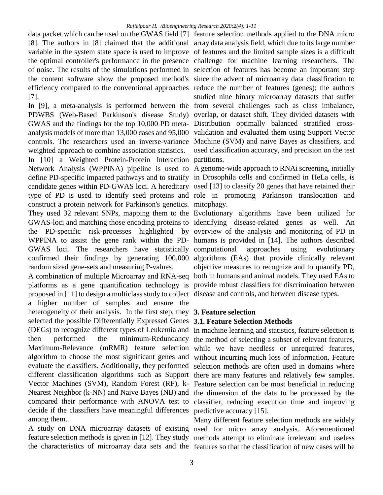data packet which can be used on the GWAS field [7] feature selection methods applied to the DNA micro [8]. The authors in [8] claimed that the additional array data analysis field, which due to its large number variable in the system state space is used to improve of features and the limited sample sizes is a difficult the optimal controller's performance in the presence challenge for machine learning researchers. The of noise. The results of the simulations performed in selection of features has become an important step the content software show the proposed method's since the advent of microarray data classification to efficiency compared to the conventional approaches reduce the number of features (genes); the authors [7].

PDWBS (Web-Based Parkinson's disease Study) overlap, or dataset shift. They divided datasets with GWAS and the findings for the top 10,000 PD meta-Distribution optimally balanced stratified crossanalysis models of more than 13,000 cases and 95,000 validation and evaluated them using Support Vector controls. The researchers used an inverse-variance Machine (SVM) and naive Bayes as classifiers, and weighted approach to combine association statistics.

In [10] a Weighted Protein-Protein Interaction partitions. Network Analysis (WPPINA) pipeline is used to A genome-wide approach to RNAi screening, initially define PD-specific impacted pathways and to stratify in Drosophila cells and confirmed in HeLa cells, is candidate genes within PD-GWAS loci. A hereditary used [13] to classify 20 genes that have retained their type of PD is used to identify seed proteins and role in promoting Parkinson translocation and construct a protein network for Parkinson's genetics. mitophagy. They used 32 relevant SNPs, mapping them to the Evolutionary algorithms have been utilized for GWAS-loci and matching those encoding proteins to identifying disease-related genes as well. An the PD-specific risk-processes highlighted by overview of the analysis and monitoring of PD in WPPINA to assist the gene rank within the PD-humans is provided in [14]. The authors described GWAS loci. The researchers have statistically computational approaches using evolutionary confirmed their findings by generating 100,000 algorithms (EAs) that provide clinically relevant random sized gene-sets and measuring P-values.

A combination of multiple Microarray and RNA-seq both in humans and animal models. They used EAs to platforms as a gene quantification technology is provide robust classifiers for discrimination between proposed in [11] to design a multiclass study to collect disease and controls, and between disease types. a higher number of samples and ensure the heterogeneity of their analysis. In the first step, they **3. Feature selection** selected the possible Differentially Expressed Genes **3.1. Feature Selection Methods** (DEGs) to recognize different types of Leukemia and In machine learning and statistics, feature selection is then performed the minimum-Redundancy the method of selecting a subset of relevant features, Maximum-Relevance (mRMR) feature selection while we have needless or unrequired features, algorithm to choose the most significant genes and without incurring much loss of information. Feature evaluate the classifiers. Additionally, they performed selection methods are often used in domains where different classification algorithms such as Support there are many features and relatively few samples. Vector Machines (SVM), Random Forest (RF), k-Feature selection can be most beneficial in reducing Nearest Neighbor (k-NN) and Naive Bayes (NB) and the dimension of the data to be processed by the compared their performance with ANOVA test to classifier, reducing execution time and improving decide if the classifiers have meaningful differences predictive accuracy [15]. among them.

A study on DNA microarray datasets of existing used for micro array analysis. Aforementioned feature selection methods is given in [12]. They study methods attempt to eliminate irrelevant and useless

In [9], a meta-analysis is performed between the from several challenges such as class imbalance, studied nine binary microarray datasets that suffer used classification accuracy, and precision on the test

objective measures to recognize and to quantify PD,

the characteristics of microarray data sets and the features so that the classification of new cases will be Many different feature selection methods are widely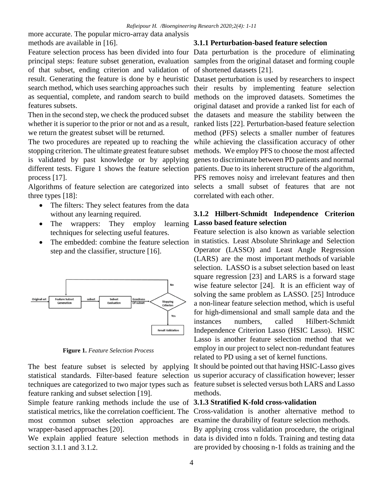more accurate. The popular micro-array data analysis methods are available in [16].

of that subset, ending criterion and validation of of shortened datasets [21]. features subsets.

we return the greatest subset will be returned.

The two procedures are repeated up to reaching the while achieving the classification accuracy of other stopping criterion. The ultimate greatest feature subset methods. We employ PFS to choose the most affected is validated by past knowledge or by applying genes to discriminate between PD patients and normal different tests. Figure 1 shows the feature selection patients. Due to its inherent structure of the algorithm, process [17].

three types [18]:

- The filters: They select features from the data without any learning required.
- The wrappers: They employ learning techniques for selecting useful features.
- The embedded: combine the feature selection step and the classifier, structure [16].



**Figure 1.** *Feature Selection Process*

feature ranking and subset selection [19].

Simple feature ranking methods include the use of **3.1.3 Stratified K-fold cross-validation** most common subset selection approaches are examine the durability of feature selection methods. wrapper-based approaches [20].

We explain applied feature selection methods in data is divided into n folds. Training and testing data section 3.1.1 and 3.1.2.

#### **3.1.1 Perturbation-based feature selection**

Feature selection process has been divided into four Data perturbation is the procedure of eliminating principal steps: feature subset generation, evaluation samples from the original dataset and forming couple

result. Generating the feature is done by e heuristic Dataset perturbation is used by researchers to inspect search method, which uses searching approaches such their results by implementing feature selection as sequential, complete, and random search to build methods on the improved datasets. Sometimes the Then in the second step, we check the produced subset the datasets and measure the stability between the whether it is superior to the prior or not and as a result, ranked lists [22]. Perturbation-based feature selection Algorithms of feature selection are categorized into selects a small subset of features that are not original dataset and provide a ranked list for each of method (PFS) selects a smaller number of features PFS removes noisy and irrelevant features and then correlated with each other.

### **3.1.2 Hilbert-Schmidt Independence Criterion Lasso based feature selection**

Feature selection is also known as variable selection in statistics. Least Absolute Shrinkage and Selection Operator (LASSO) and Least Angle Regression (LARS) are the most important methods of variable selection. LASSO is a subset selection based on least square regression [23] and LARS is a forward stage wise feature selector [24]. It is an efficient way of solving the same problem as LASSO. [25] Introduce a non-linear feature selection method, which is useful for high-dimensional and small sample data and the instances numbers, called Hilbert-Schmidt Independence Criterion Lasso (HSIC Lasso). HSIC Lasso is another feature selection method that we employ in our project to select non-redundant features related to PD using a set of kernel functions.

The best feature subset is selected by applying It should be pointed out that having HSIC-Lasso gives statistical standards. Filter-based feature selection us superior accuracy of classification however; lesser techniques are categorized to two major types such as feature subset is selected versus both LARS and Lasso methods.

statistical metrics, like the correlation coefficient. The Cross-validation is another alternative method to

By applying cross validation procedure, the original are provided by choosing n-1 folds as training and the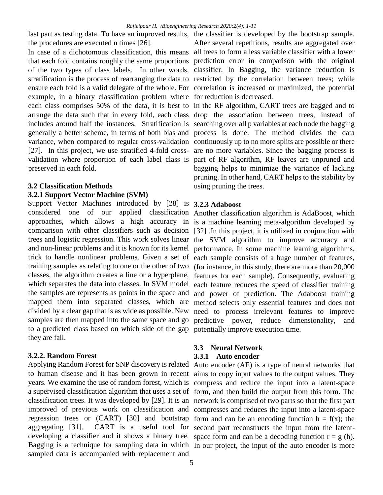last part as testing data. To have an improved results, the classifier is developed by the bootstrap sample. the procedures are executed n times [26].

In case of a dichotomous classification, this means all trees to form a less variable classifier with a lower that each fold contains roughly the same proportions prediction error in comparison with the original of the two types of class labels. In other words, classifier. In Bagging, the variance reduction is stratification is the process of rearranging the data to restricted by the correlation between trees; while ensure each fold is a valid delegate of the whole. For correlation is increased or maximized, the potential example, in a binary classification problem where for reduction is decreased. each class comprises 50% of the data, it is best to In the RF algorithm, CART trees are bagged and to arrange the data such that in every fold, each class drop the association between trees, instead of includes around half the instances. Stratification is searching over all p variables at each node the bagging generally a better scheme, in terms of both bias and process is done. The method divides the data variance, when compared to regular cross-validation continuously up to no more splits are possible or there [27]. In this project, we use stratified 4-fold cross- are no more variables. Since the bagging process is validation where proportion of each label class is part of RF algorithm, RF leaves are unpruned and preserved in each fold.

#### **3.2 Classification Methods**

#### **3.2.1 Support Vector Machine (SVM)**

Support Vector Machines introduced by [28] is **3.2.3 Adaboost** considered one of our approaches, which allows a high accuracy in is a machine learning meta-algorithm developed by comparison with other classifiers such as decision [32] .In this project, it is utilized in conjunction with trees and logistic regression. This work solves linear the SVM algorithm to improve accuracy and and non-linear problems and it is known for its kernel performance. In some machine learning algorithms, trick to handle nonlinear problems. Given a set of each sample consists of a huge number of features, training samples as relating to one or the other of two (for instance, in this study, there are more than 20,000 classes, the algorithm creates a line or a hyperplane, features for each sample). Consequently, evaluating which separates the data into classes. In SVM model the samples are represents as points in the space and and power of prediction. The Adaboost training mapped them into separated classes, which are method selects only essential features and does not divided by a clear gap that is as wide as possible. New samples are then mapped into the same space and go predictive power, reduce dimensionality, and to a predicted class based on which side of the gap potentially improve execution time. they are fall.

#### **3.2.2. Random Forest**

aggregating [31]. CART is a useful tool for second part reconstructs the input from the latentsampled data is accompanied with replacement and

After several repetitions, results are aggregated over

bagging helps to minimize the variance of lacking pruning. In other hand, CART helps to the stability by using pruning the trees.

applied classification Another classification algorithm is AdaBoost, which each feature reduces the speed of classifier training need to process irrelevant features to improve

### **3.3 Neural Network**

#### **3.3.1 Auto encoder**

Applying Random Forest for SNP discovery is related Auto encoder (AE) is a type of neural networks that to human disease and it has been grown in recent aims to copy input values to the output values. They years. We examine the use of random forest, which is compress and reduce the input into a latent-space a supervised classification algorithm that uses a set of form, and then build the output from this form. The classification trees. It was developed by [29]. It is an network is comprised of two parts so that the first part improved of previous work on classification and compresses and reduces the input into a latent-space regression trees or  $(CART)$  [30] and bootstrap form and can be an encoding function  $h = f(x)$ ; the developing a classifier and it shows a binary tree. space form and can be a decoding function  $r = g(h)$ . Bagging is a technique for sampling data in which In our project, the input of the auto encoder is more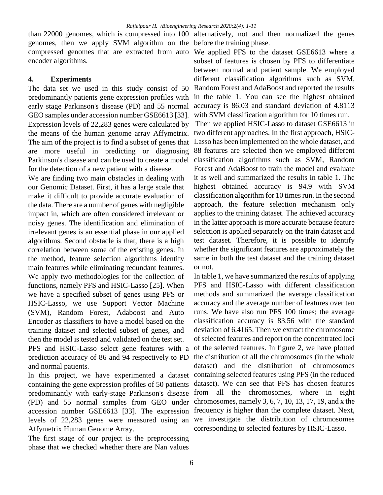than 22000 genomes, which is compressed into 100 alternatively, not and then normalized the genes genomes, then we apply SVM algorithm on the before the training phase. compressed genomes that are extracted from auto We applied PFS to the dataset GSE6613 where a encoder algorithms.

### **4. Experiments**

The data set we used in this study consist of 50 predominantly patients gene expression profiles with early stage Parkinson's disease (PD) and 55 normal GEO samples under accession number GSE6613 [33]. Expression levels of 22,283 genes were calculated by the means of the human genome array Affymetrix. two different approaches. In the first approach, HSIC-The aim of the project is to find a subset of genes that Lasso has been implemented on the whole dataset, and are more useful in predicting or diagnosing Parkinson's disease and can be used to create a model for the detection of a new patient with a disease.

We are finding two main obstacles in dealing with our Genomic Dataset. First, it has a large scale that make it difficult to provide accurate evaluation of the data. There are a number of genes with negligible impact in, which are often considered irrelevant or noisy genes. The identification and elimination of irrelevant genes is an essential phase in our applied algorithms. Second obstacle is that, there is a high correlation between some of the existing genes. In the method, feature selection algorithms identify main features while eliminating redundant features. We apply two methodologies for the collection of functions, namely PFS and HSIC-Lasso [25]. When we have a specified subset of genes using PFS or HSIC-Lasso, we use Support Vector Machine (SVM), Random Forest, Adaboost and Auto Encoder as classifiers to have a model based on the training dataset and selected subset of genes, and then the model is tested and validated on the test set. PFS and HSIC-Lasso select gene features with a prediction accuracy of 86 and 94 respectively to PD and normal patients.

In this project, we have experimented a dataset containing selected features using PFS (in the reduced containing the gene expression profiles of 50 patients predominantly with early-stage Parkinson's disease from all the chromosomes, where in eight (PD) and 55 normal samples from GEO under chromosomes, namely 3, 6, 7, 10, 13, 17, 19, and x the accession number GSE6613 [33]. The expression frequency is higher than the complete dataset. Next, levels of 22,283 genes were measured using an we investigate the distribution of chromosomes Affymetrix Human Genome Array.

The first stage of our project is the preprocessing phase that we checked whether there are Nan values

subset of features is chosen by PFS to differentiate between normal and patient sample. We employed different classification algorithms such as SVM, Random Forest and AdaBoost and reported the results in the table 1. You can see the highest obtained accuracy is 86.03 and standard deviation of 4.8113 with SVM classification algorithm for 10 times run.

Then we applied HSIC-Lasso to dataset GSE6613 in 88 features are selected then we employed different classification algorithms such as SVM, Random Forest and AdaBoost to train the model and evaluate it as well and summarized the results in table 1. The highest obtained accuracy is 94.9 with SVM classification algorithm for 10 times run. In the second approach, the feature selection mechanism only applies to the training dataset. The achieved accuracy in the latter approach is more accurate because feature selection is applied separately on the train dataset and test dataset. Therefore, it is possible to identify whether the significant features are approximately the same in both the test dataset and the training dataset or not.

In table 1, we have summarized the results of applying PFS and HSIC-Lasso with different classification methods and summarized the average classification accuracy and the average number of features over ten runs. We have also run PFS 100 times; the average classification accuracy is 83.56 with the standard deviation of 6.4165. Then we extract the chromosome of selected features and report on the concentrated loci of the selected features. In figure 2, we have plotted the distribution of all the chromosomes (in the whole dataset) and the distribution of chromosomes dataset). We can see that PFS has chosen features corresponding to selected features by HSIC-Lasso.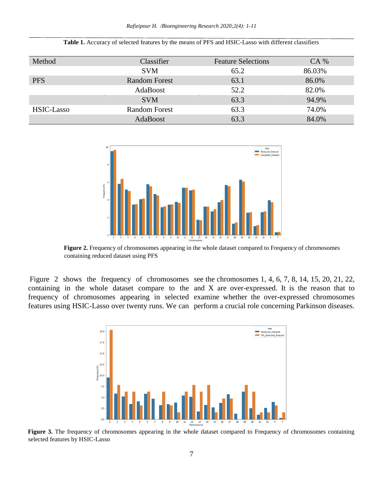| Method     | Classifier           | <b>Feature Selections</b> | $CA\%$ |
|------------|----------------------|---------------------------|--------|
|            | <b>SVM</b>           | 65.2                      | 86.03% |
| <b>PFS</b> | <b>Random Forest</b> | 63.1                      | 86.0%  |
|            | AdaBoost             | 52.2                      | 82.0%  |
|            | <b>SVM</b>           | 63.3                      | 94.9%  |
| HSIC-Lasso | Random Forest        | 63.3                      | 74.0%  |
|            | AdaBoost             | 63.3                      | 84.0%  |

**Table 1.** Accuracy of selected features by the means of PFS and HSIC-Lasso with different classifiers



**Figure 2.** Frequency of chromosomes appearing in the whole dataset compared to Frequency of chromosomes containing reduced dataset using PFS

Figure 2 shows the frequency of chromosomes see the chromosomes 1, 4, 6, 7, 8, 14, 15, 20, 21, 22, containing in the whole dataset compare to the and X are over-expressed. It is the reason that to frequency of chromosomes appearing in selected examine whether the over-expressed chromosomes features using HSIC-Lasso over twenty runs. We can perform a crucial role concerning Parkinson diseases.



**Figure 3.** The frequency of chromosomes appearing in the whole dataset compared to Frequency of chromosomes containing selected features by HSIC-Lasso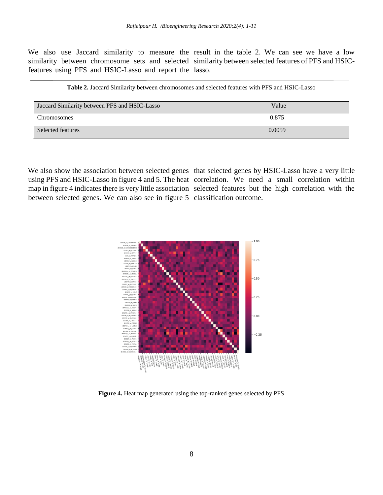We also use Jaccard similarity to measure the result in the table 2. We can see we have a low similarity between chromosome sets and selected similarity between selected features of PFS and HSICfeatures using PFS and HSIC-Lasso and report the lasso.

| Jaccard Similarity between PFS and HSIC-Lasso | Value  |
|-----------------------------------------------|--------|
| Chromosomes                                   | 0.875  |
| Selected features                             | 0.0059 |

between selected genes. We can also see in figure 5 classification outcome.

We also show the association between selected genes that selected genes by HSIC-Lasso have a very little using PFS and HSIC-Lasso in figure 4 and 5. The heat correlation. We need a small correlation within map in figure 4 indicates there is very little association selected features but the high correlation with the



**Figure 4.** Heat map generated using the top-ranked genes selected by PFS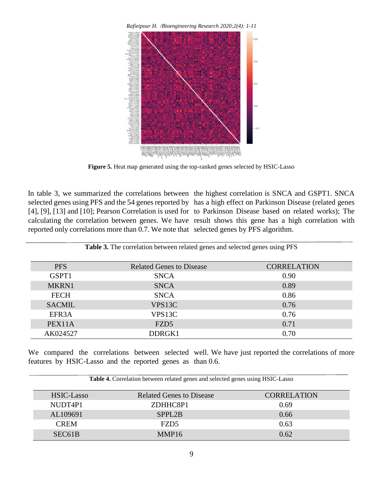*Rafieipour H. /Bioengineering Research 2020;2(4): 1-11*



Figure 5. Heat map generated using the top-ranked genes selected by HSIC-Lasso

reported only correlations more than 0.7. We note that selected genes by PFS algorithm.

In table 3, we summarized the correlations between the highest correlation is SNCA and GSPT1. SNCA selected genes using PFS and the 54 genes reported by has a high effect on Parkinson Disease (related genes [4], [9], [13] and [10]; Pearson Correlation is used for to Parkinson Disease based on related works); The calculating the correlation between genes. We have result shows this gene has a high correlation with

| Table 3. The correlation between related genes and selected genes using PFS |                                 |                    |  |
|-----------------------------------------------------------------------------|---------------------------------|--------------------|--|
| <b>PFS</b>                                                                  | <b>Related Genes to Disease</b> | <b>CORRELATION</b> |  |
| GSPT1                                                                       | <b>SNCA</b>                     | 0.90               |  |
| MKRN1                                                                       | <b>SNCA</b>                     | 0.89               |  |
| <b>FECH</b>                                                                 | <b>SNCA</b>                     | 0.86               |  |
| <b>SACMIL</b>                                                               | VPS <sub>13C</sub>              | 0.76               |  |
| EFR <sub>3</sub> A                                                          | VPS <sub>13C</sub>              | 0.76               |  |
| PEX11A                                                                      | FZD <sub>5</sub>                | 0.71               |  |
| AK024527                                                                    | DDRGK1                          | 0.70               |  |

**Table 3.** The correlation between related genes and selected genes using PFS

We compared the correlations between selected well. We have just reported the correlations of more features by HSIC-Lasso and the reported genes as than 0.6.

| Table 4. Correlation between related genes and selected genes using HSIC-Lasso |  |
|--------------------------------------------------------------------------------|--|

| HSIC-Lasso          | <b>Related Genes to Disease</b> | <b>CORRELATION</b> |
|---------------------|---------------------------------|--------------------|
| NUDT4P1             | ZDHHC8P1                        | 0.69               |
| AL109691            | SPPL <sub>2</sub> B             | 0.66               |
| <b>CREM</b>         | FZD5                            | 0.63               |
| SEC <sub>61</sub> B | MMP <sub>16</sub>               | 0.62               |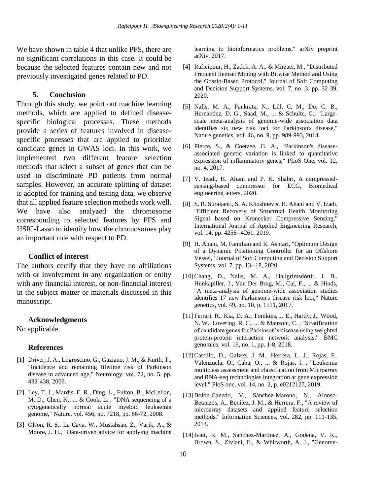We have shown in table 4 that unlike PFS, there are no significant correlations in this case. It could be because the selected features contain new and not previously investigated genes related to PD.

#### **5. Conclusion**

Through this study, we point out machine learning methods, which are applied to defined diseasespecific biological processes. These methods provide a series of features involved in diseasespecific processes that are applied to prioritize candidate genes in GWAS loci. In this work, we implemented two different feature selection methods that select a subset of genes that can be used to discriminate PD patients from normal samples. However, an accurate splitting of dataset is adopted for training and testing data, we observe that all applied feature selection methods work well. We have also analyzed the chromosome corresponding to selected features by PFS and HSIC-Lasso to identify how the chromosomes play an important role with respect to PD.

#### **Conflict of interest**

The authors certify that they have no affiliations with or involvement in any organization or entity with any financial interest, or non-financial interest in the subject matter or materials discussed in this manuscript.

#### **Acknowledgments**

No applicable.

#### **References**

- [1] Driver, J. A., Logroscino, G., Gaziano, J. M., & Kurth, T., "Incidence and remaining lifetime risk of Parkinson disease in advanced age," Neurology, vol. 72, no. 5, pp. 432-438, 2009.
- [2] Ley, T. J., Mardis, E. R., Ding, L., Fulton, B., McLellan, M. D., Chen, K., ... & Cook, L. , "DNA sequencing of a cytogenetically normal acute myeloid leukaemia genome," Nature, vol. 456, no. 7218, pp. 66-72, 2008.
- [3] Olson, R. S., La Cava, W., Mustahsan, Z., Varik, A., & Moore, J. H., "Data-driven advice for applying machine

learning to bioinformatics problems," arXiv preprint arXiv, 2017.

- [4] Rafieipour, H., Zadeh, A. A., & Mirzaei, M., "Distributed Frequent Itemset Mining with Bitwise Method and Using the Gossip-Based Protocol," Journal of Soft Computing and Decision Support Systems, vol. 7, no. 3, pp. 32-39, 2020.
- [5] Nalls, M. A., Pankratz, N., Lill, C. M., Do, C. B., Hernandez, D. G., Saad, M., ... & Schulte, C., "Largescale meta-analysis of genome-wide association data identifies six new risk loci for Parkinson's disease," Nature genetics, vol. 46, no. 9, pp. 989-993, 2014.
- [6] Pierce, S., & Coetzee, G. A., "Parkinson's diseaseassociated genetic variation is linked to quantitative expression of inflammatory genes," PLoS One, vol. 12, no. 4, 2017.
- [7] V. Izadi, H. Ahani and P. K. Shahri, A compressedsensing-based compressor for ECG, Biomedical engineering letters, 2020.
- [8] S. R. Surakanti, S. A. Khoshnevis, H. Ahani and V. Izadi, "Efficient Recovery of Structrual Health Monitoring Signal based on Kronecker Compressive Sensing," International Journal of Applied Engineering Research, vol. 14, pp. 4256--4261, 2019.
- [9] H. Ahani, M. Familian and R. Ashtari, "Optimum Design of a Dynamic Positioning Controller for an Offshore Vessel," Journal of Soft Computing and Decision Support Systems, vol. 7, pp. 13--18, 2020.
- [10]Chang, D., Nalls, M. A., Hallgrímsdóttir, I. B., Hunkapiller, J., Van Der Brug, M., Cai, F., ... & Hinds, "A meta-analysis of genome-wide association studies identifies 17 new Parkinson's disease risk loci," Nature genetics, vol. 49, no. 10, p. 1511, 2017.
- [11]Ferrari, R., Kia, D. A., Tomkins, J. E., Hardy, J., Wood, N. W., Lovering, R. C., ... & Manzoni, C. , "Stratification of candidate genes for Parkinson's disease using weighted protein-protein interaction network analysis," BMC genomics, vol. 19, no. 1, pp. 1-8, 2018.
- [12]Castillo, D., Galvez, J. M., Herrera, L. J., Rojas, F., Valenzuela, O., Caba, O., ... & Rojas, I. , "Leukemia multiclass assessment and classification from Microarray and RNA-seq technologies integration at gene expression level," PloS one, vol. 14, no. 2, p. e0212127, 2019.
- [13]Bolón-Canedo, V., Sánchez-Marono, N., Alonso-Betanzos, A., Benítez, J. M., & Herrera, F., "A review of microarray datasets and applied feature selection methods," Information Sciences, vol. 282, pp. 111-135, 2014.
- [14]Ivatt, R. M., Sanchez-Martinez, A., Godena, V. K., Brown, S., Ziviani, E., & Whitworth, A. J., "Genome-